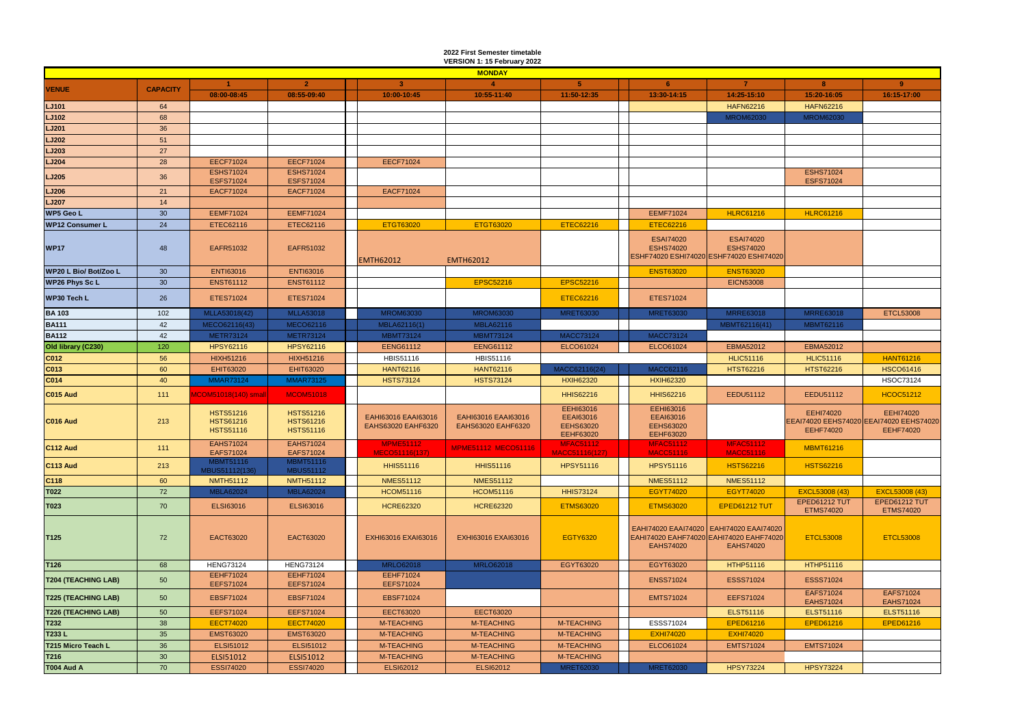|                            |                 |                                                          |                                                          |                  |                                           | 2022 First Semester timetable<br>VERSION 1: 15 February 2022 |                                                                       |                                                                                                        |                                      |                                      |                                                                                 |
|----------------------------|-----------------|----------------------------------------------------------|----------------------------------------------------------|------------------|-------------------------------------------|--------------------------------------------------------------|-----------------------------------------------------------------------|--------------------------------------------------------------------------------------------------------|--------------------------------------|--------------------------------------|---------------------------------------------------------------------------------|
|                            |                 |                                                          |                                                          |                  |                                           | <b>MONDAY</b>                                                |                                                                       |                                                                                                        |                                      |                                      |                                                                                 |
|                            | <b>CAPACITY</b> |                                                          | 2 <sup>1</sup>                                           |                  | $\mathbf{3}$                              | $\blacktriangle$                                             | 5 <sup>1</sup>                                                        | 6                                                                                                      | $\overline{7}$                       | 8                                    | 9                                                                               |
| <b>VENUE</b>               |                 | 08:00-08:45                                              | 08:55-09:40                                              |                  | 10:00-10:45                               | 10:55-11:40                                                  | 11:50-12:35                                                           | 13:30-14:15                                                                                            | 14:25-15:10                          | 15:20-16:05                          | 16:15-17:00                                                                     |
| LJ101                      | 64              |                                                          |                                                          |                  |                                           |                                                              |                                                                       |                                                                                                        | <b>HAFN62216</b>                     | <b>HAFN62216</b>                     |                                                                                 |
| LJ102                      | 68              |                                                          |                                                          |                  |                                           |                                                              |                                                                       |                                                                                                        | <b>MROM62030</b>                     | <b>MROM62030</b>                     |                                                                                 |
| <b>LJ201</b>               | 36              |                                                          |                                                          |                  |                                           |                                                              |                                                                       |                                                                                                        |                                      |                                      |                                                                                 |
| <b>LJ202</b>               | 51              |                                                          |                                                          |                  |                                           |                                                              |                                                                       |                                                                                                        |                                      |                                      |                                                                                 |
| LJ203                      | 27              |                                                          |                                                          |                  |                                           |                                                              |                                                                       |                                                                                                        |                                      |                                      |                                                                                 |
| LJ204                      | 28              | <b>EECF71024</b>                                         | <b>EECF71024</b>                                         |                  | <b>EECF71024</b>                          |                                                              |                                                                       |                                                                                                        |                                      |                                      |                                                                                 |
| <b>LJ205</b>               | 36              | <b>ESHS71024</b><br><b>ESFS71024</b>                     | <b>ESHS71024</b><br><b>ESFS71024</b>                     |                  |                                           |                                                              |                                                                       |                                                                                                        |                                      | <b>ESHS71024</b><br><b>ESFS71024</b> |                                                                                 |
| <b>LJ206</b>               | 21              | <b>EACF71024</b>                                         | <b>EACF71024</b>                                         |                  | EACF71024                                 |                                                              |                                                                       |                                                                                                        |                                      |                                      |                                                                                 |
| <b>LJ207</b>               | 14              |                                                          |                                                          |                  |                                           |                                                              |                                                                       |                                                                                                        |                                      |                                      |                                                                                 |
| <b>WP5 Geo L</b>           | 30 <sup>°</sup> | <b>EEMF71024</b>                                         | <b>EEMF71024</b>                                         |                  |                                           |                                                              |                                                                       | <b>EEMF71024</b>                                                                                       | <b>HLRC61216</b>                     | <b>HLRC61216</b>                     |                                                                                 |
| <b>WP12 Consumer L</b>     | 24              | ETEC62116                                                | ETEC62116                                                |                  | ETGT63020                                 | ETGT63020                                                    | <b>ETEC62216</b>                                                      | <b>ETEC62216</b>                                                                                       |                                      |                                      |                                                                                 |
| <b>WP17</b>                | 48              | EAFR51032                                                | EAFR51032                                                | <b>EMTH62012</b> |                                           | <b>EMTH62012</b>                                             |                                                                       | <b>ESAI74020</b><br><b>ESHS74020</b><br>ESHF74020 ESHI74020 ESHF74020 ESHI74020                        | <b>ESAI74020</b><br><b>ESHS74020</b> |                                      |                                                                                 |
| WP20 L Bio/ Bot/Zoo L      | 30 <sup>°</sup> | <b>ENTI63016</b>                                         | <b>ENTI63016</b>                                         |                  |                                           |                                                              |                                                                       | <b>ENST63020</b>                                                                                       | <b>ENST63020</b>                     |                                      |                                                                                 |
| <b>WP26 Phys Sc L</b>      | 30 <sup>°</sup> | <b>ENST61112</b>                                         | <b>ENST61112</b>                                         |                  |                                           | <b>EPSC52216</b>                                             | <b>EPSC52216</b>                                                      |                                                                                                        | <b>EICN53008</b>                     |                                      |                                                                                 |
| <b>WP30 Tech L</b>         | 26              | <b>ETES71024</b>                                         | <b>ETES71024</b>                                         |                  |                                           |                                                              | <b>ETEC62216</b>                                                      | <b>ETES71024</b>                                                                                       |                                      |                                      |                                                                                 |
| <b>BA103</b>               | 102             | MLLA53018(42)                                            | <b>MLLA53018</b>                                         |                  | <b>MROM63030</b>                          | <b>MROM63030</b>                                             | <b>MRET63030</b>                                                      | <b>MRET63030</b>                                                                                       | <b>MRRE63018</b>                     | <b>MRRE63018</b>                     | <b>ETCL53008</b>                                                                |
| <b>BA111</b>               | 42              | MECO62116(43)                                            | <b>MECO62116</b>                                         |                  | MBLA62116(1)                              | <b>MBLA62116</b>                                             |                                                                       |                                                                                                        | MBMT62116(41)                        | <b>MBMT62116</b>                     |                                                                                 |
| <b>BA112</b>               | 42              | <b>METR73124</b>                                         | <b>METR73124</b>                                         |                  | <b>MBMT73124</b>                          | <b>MBMT73124</b>                                             | <b>MACC73124</b>                                                      | <b>MACC73124</b>                                                                                       |                                      |                                      |                                                                                 |
| Old library (C230)         | 120             | <b>HPSY62116</b>                                         | <b>HPSY62116</b>                                         |                  | <b>EENG61112</b>                          | <b>EENG61112</b>                                             | ELCO61024                                                             | ELCO61024                                                                                              | EBMA52012                            | <b>EBMA52012</b>                     |                                                                                 |
| C012                       | 56              | <b>HIXH51216</b>                                         | <b>HIXH51216</b>                                         |                  | <b>HBIS51116</b>                          | HBIS51116                                                    |                                                                       |                                                                                                        | <b>HLIC51116</b>                     | <b>HLIC51116</b>                     | <b>HANT61216</b>                                                                |
| C013                       | 60              | EHIT63020                                                | EHIT63020                                                |                  | <b>HANT62116</b>                          | <b>HANT62116</b>                                             | MACC62116(24)                                                         | <b>MACC62116</b>                                                                                       | <b>HTST62216</b>                     | <b>HTST62216</b>                     | <b>HSCO61416</b>                                                                |
| C014                       | 40              | <b>MMAR73124</b>                                         | <b>MMAR73125</b>                                         |                  | <b>HSTS73124</b>                          | <b>HSTS73124</b>                                             | <b>HXIH62320</b>                                                      | <b>HXIH62320</b>                                                                                       |                                      |                                      | <b>HSOC73124</b>                                                                |
| C015 Aud                   | 111             | <b>MCOM51018(140)</b> small                              | <b>MCOM51018</b>                                         |                  |                                           |                                                              | <b>HHIS62216</b>                                                      | <b>HHIS62216</b>                                                                                       | EEDU51112                            | EEDU51112                            | <b>HCOC51212</b>                                                                |
| C016 Aud                   | 213             | <b>HSTS51216</b><br><b>HSTS61216</b><br><b>HSTS51116</b> | <b>HSTS51216</b><br><b>HSTS61216</b><br><b>HSTS51116</b> |                  | EAHI63016 EAAI63016<br>EAHS63020 EAHF6320 | EAHI63016 EAAI63016<br>EAHS63020 EAHF6320                    | <b>EEHI63016</b><br>EEAI63016<br><b>EEHS63020</b><br><b>EEHF63020</b> | <b>EEHI63016</b><br><b>EEAI63016</b><br><b>EEHS63020</b><br>EEHF63020                                  |                                      | <b>EEHI74020</b><br><b>EEHF74020</b> | <b>EEHI74020</b><br>EEAI74020 EEHS74020 EEAI74020 EEHS74020<br><b>EEHF74020</b> |
| <b>C112 Aud</b>            | 111             | <b>EAHS71024</b><br>EAFS71024                            | <b>EAHS71024</b><br>EAFS71024                            |                  | <b>MPME51112</b><br>MECO51116(137)        | <b>MPME51112 MECO51116</b>                                   | <b>MFAC51112</b><br>MACC51116(127)                                    | <b>MFAC51112</b><br><b>MACC51116</b>                                                                   | <b>MFAC51112</b><br><b>MACC51116</b> | <b>MBMT61216</b>                     |                                                                                 |
| <b>C113 Aud</b>            | 213             | <b>MBMT51116</b><br>MBUS51112(136)                       | <b>MBMT51116</b><br><b>MBUS51112</b>                     |                  | <b>HHIS51116</b>                          | <b>HHIS51116</b>                                             | <b>HPSY51116</b>                                                      | <b>HPSY51116</b>                                                                                       | <b>HSTS62216</b>                     | <b>HSTS62216</b>                     |                                                                                 |
| C <sub>118</sub>           | 60              | <b>NMTH51112</b>                                         | <b>NMTH51112</b>                                         |                  | <b>NMES51112</b>                          | <b>NMES51112</b>                                             |                                                                       | <b>NMES51112</b>                                                                                       | <b>NMES51112</b>                     |                                      |                                                                                 |
| T022                       | 72              | <b>MBLA62024</b>                                         | <b>MBLA62024</b>                                         |                  | <b>HCOM51116</b>                          | <b>HCOM51116</b>                                             | <b>HHIS73124</b>                                                      | <b>EGYT74020</b>                                                                                       | <b>EGYT74020</b>                     | EXCL53008 (43)                       | EXCL53008 (43)                                                                  |
| T023                       | 70              | <b>ELSI63016</b>                                         | <b>ELSI63016</b>                                         |                  | <b>HCRE62320</b>                          | <b>HCRE62320</b>                                             | <b>ETMS63020</b>                                                      | <b>ETMS63020</b>                                                                                       | EPED61212 TUT                        | EPED61212 TUT<br><b>ETMS74020</b>    | <b>EPED61212 TUT</b><br><b>ETMS74020</b>                                        |
| T <sub>125</sub>           | 72              | <b>EACT63020</b>                                         | <b>EACT63020</b>                                         |                  | EXHI63016 EXAI63016                       | EXHI63016 EXAI63016                                          | <b>EGTY6320</b>                                                       | EAHI74020 EAAI74020 EAHI74020 EAAI74020<br>EAHI74020 EAHF74020 EAHI74020 EAHF74020<br><b>EAHS74020</b> | <b>EAHS74020</b>                     | <b>ETCL53008</b>                     | <b>ETCL53008</b>                                                                |
| T <sub>126</sub>           | 68              | <b>HENG73124</b>                                         | <b>HENG73124</b>                                         |                  | <b>MRLO62018</b>                          | <b>MRLO62018</b>                                             | EGYT63020                                                             | EGYT63020                                                                                              | HTHP51116                            | <b>HTHP51116</b>                     |                                                                                 |
| <b>T204 (TEACHING LAB)</b> | 50              | EEHF71024<br><b>EEFS71024</b>                            | EEHF71024<br><b>EEFS71024</b>                            |                  | EEHF71024<br><b>EEFS71024</b>             |                                                              |                                                                       | <b>ENSS71024</b>                                                                                       | ESSS71024                            | ESSS71024                            |                                                                                 |
| <b>T225 (TEACHING LAB)</b> | 50              | <b>EBSF71024</b>                                         | <b>EBSF71024</b>                                         |                  | EBSF71024                                 |                                                              |                                                                       | <b>EMTS71024</b>                                                                                       | <b>EEFS71024</b>                     | EAFS71024<br><b>EAHS71024</b>        | EAFS71024<br><b>EAHS71024</b>                                                   |
| <b>T226 (TEACHING LAB)</b> | 50              | <b>EEFS71024</b>                                         | <b>EEFS71024</b>                                         |                  | <b>EECT63020</b>                          | <b>EECT63020</b>                                             |                                                                       |                                                                                                        | <b>ELST51116</b>                     | ELST51116                            | <b>ELST51116</b>                                                                |
| T232                       | 38              | <b>EECT74020</b>                                         | <b>EECT74020</b>                                         |                  | <b>M-TEACHING</b>                         | <b>M-TEACHING</b>                                            | <b>M-TEACHING</b>                                                     | ESSS71024                                                                                              | EPED61216                            | EPED61216                            | <b>EPED61216</b>                                                                |
| T233L                      | 35              | <b>EMST63020</b>                                         | <b>EMST63020</b>                                         |                  | <b>M-TEACHING</b>                         | <b>M-TEACHING</b>                                            | <b>M-TEACHING</b>                                                     | <b>EXHI74020</b>                                                                                       | <b>EXHI74020</b>                     |                                      |                                                                                 |
| T215 Micro Teach L         | 36              | ELSI51012                                                | ELSI51012                                                |                  | <b>M-TEACHING</b>                         | <b>M-TEACHING</b>                                            | <b>M-TEACHING</b>                                                     | ELCO61024                                                                                              | <b>EMTS71024</b>                     | <b>EMTS71024</b>                     |                                                                                 |
| T216                       | 30 <sup>°</sup> | ELSI51012                                                | ELSI51012                                                |                  | <b>M-TEACHING</b>                         | <b>M-TEACHING</b>                                            | <b>M-TEACHING</b>                                                     |                                                                                                        |                                      |                                      |                                                                                 |
| T004 Aud A                 | 70              | <b>ESSI74020</b>                                         | <b>ESSI74020</b>                                         |                  | <b>ELSI62012</b>                          | <b>ELSI62012</b>                                             | <b>MRET62030</b>                                                      | <b>MRET62030</b>                                                                                       | <b>HPSY73224</b>                     | <b>HPSY73224</b>                     |                                                                                 |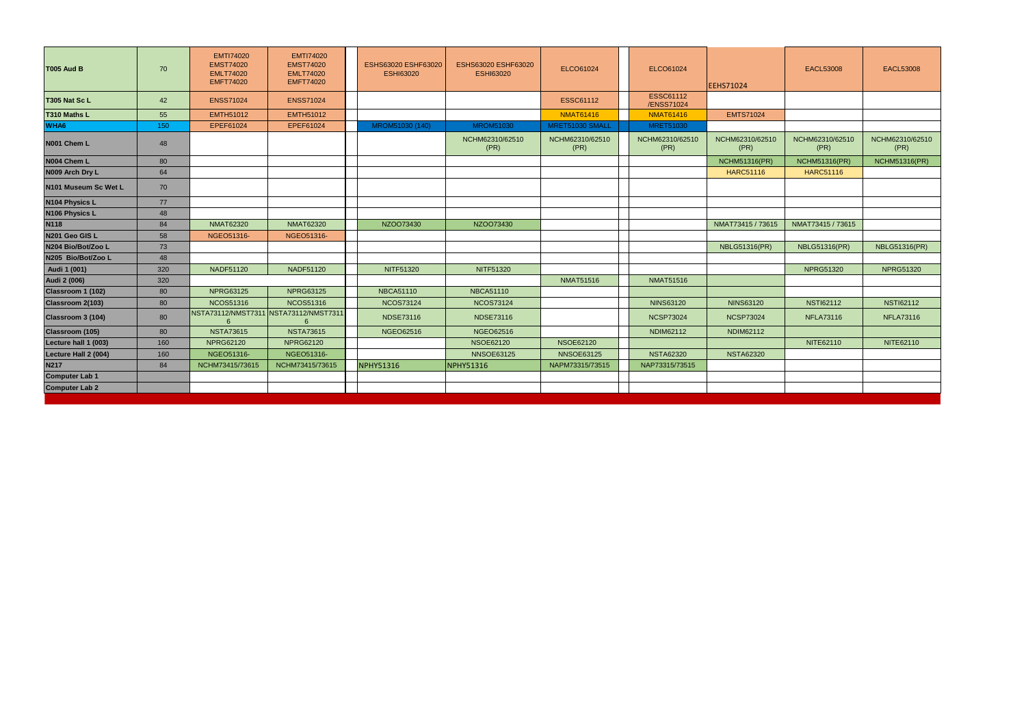| <b>T005 Aud B</b>     | 70  | <b>EMTI74020</b><br><b>EMST74020</b><br><b>EMLT74020</b><br><b>EMFT74020</b> | <b>EMTI74020</b><br><b>EMST74020</b><br><b>EMLT74020</b><br><b>EMFT74020</b> | ESHS63020 ESHF63020<br><b>ESHI63020</b> | ESHS63020 ESHF63020<br><b>ESHI63020</b> | ELCO61024               | ELCO61024                      | <b>EEHS71024</b>        | <b>EACL53008</b>        | <b>EACL53008</b>        |
|-----------------------|-----|------------------------------------------------------------------------------|------------------------------------------------------------------------------|-----------------------------------------|-----------------------------------------|-------------------------|--------------------------------|-------------------------|-------------------------|-------------------------|
| T305 Nat Sc L         | 42  | <b>ENSS71024</b>                                                             | <b>ENSS71024</b>                                                             |                                         |                                         | <b>ESSC61112</b>        | <b>ESSC61112</b><br>/ENSS71024 |                         |                         |                         |
| T310 Maths L          | 55  | <b>EMTH51012</b>                                                             | <b>EMTH51012</b>                                                             |                                         |                                         | <b>NMAT61416</b>        | <b>NMAT61416</b>               | <b>EMTS71024</b>        |                         |                         |
| WHA <sub>6</sub>      | 150 | EPEF61024                                                                    | EPEF61024                                                                    | MROM51030 (140)                         | <b>MROM51030</b>                        | MRET51030 SMALL         | <b>MRET51030</b>               |                         |                         |                         |
| N001 Chem L           | 48  |                                                                              |                                                                              |                                         | NCHM62310/62510<br>(PR)                 | NCHM62310/62510<br>(PR) | NCHM62310/62510<br>(PR)        | NCHM62310/62510<br>(PR) | NCHM62310/62510<br>(PR) | NCHM62310/62510<br>(PR) |
| N004 Chem L           | 80  |                                                                              |                                                                              |                                         |                                         |                         |                                | <b>NCHM51316(PR)</b>    | <b>NCHM51316(PR)</b>    | <b>NCHM51316(PR)</b>    |
| N009 Arch Dry L       | 64  |                                                                              |                                                                              |                                         |                                         |                         |                                | <b>HARC51116</b>        | <b>HARC51116</b>        |                         |
| N101 Museum Sc Wet L  | 70  |                                                                              |                                                                              |                                         |                                         |                         |                                |                         |                         |                         |
| N104 Physics L        | 77  |                                                                              |                                                                              |                                         |                                         |                         |                                |                         |                         |                         |
| N106 Physics L        | 48  |                                                                              |                                                                              |                                         |                                         |                         |                                |                         |                         |                         |
| <b>N118</b>           | 84  | <b>NMAT62320</b>                                                             | <b>NMAT62320</b>                                                             | NZOO73430                               | NZOO73430                               |                         |                                | NMAT73415 / 73615       | NMAT73415 / 73615       |                         |
| N201 Geo GIS L        | 58  | NGEO51316-                                                                   | NGEO51316-                                                                   |                                         |                                         |                         |                                |                         |                         |                         |
| N204 Bio/Bot/Zoo L    | 73  |                                                                              |                                                                              |                                         |                                         |                         |                                | <b>NBLG51316(PR)</b>    | <b>NBLG51316(PR)</b>    | <b>NBLG51316(PR)</b>    |
| N205 Bio/Bot/Zoo L    | 48  |                                                                              |                                                                              |                                         |                                         |                         |                                |                         |                         |                         |
| Audi 1 (001)          | 320 | <b>NADF51120</b>                                                             | NADF51120                                                                    | NITF51320                               | NITF51320                               |                         |                                |                         | <b>NPRG51320</b>        | <b>NPRG51320</b>        |
| <b>Audi 2 (006)</b>   | 320 |                                                                              |                                                                              |                                         |                                         | <b>NMAT51516</b>        | <b>NMAT51516</b>               |                         |                         |                         |
| Classroom 1 (102)     | 80  | <b>NPRG63125</b>                                                             | <b>NPRG63125</b>                                                             | <b>NBCA51110</b>                        | <b>NBCA51110</b>                        |                         |                                |                         |                         |                         |
| Classroom 2(103)      | 80  | <b>NCOS51316</b>                                                             | <b>NCOS51316</b>                                                             | <b>NCOS73124</b>                        | <b>NCOS73124</b>                        |                         | <b>NINS63120</b>               | <b>NINS63120</b>        | <b>NSTI62112</b>        | <b>NSTI62112</b>        |
| Classroom 3 (104)     | 80  | 6                                                                            | NSTA73112/NMST7311 NSTA73112/NMST7311<br>6                                   | <b>NDSE73116</b>                        | <b>NDSE73116</b>                        |                         | <b>NCSP73024</b>               | <b>NCSP73024</b>        | <b>NFLA73116</b>        | <b>NFLA73116</b>        |
| Classroom (105)       | 80  | <b>NSTA73615</b>                                                             | <b>NSTA73615</b>                                                             | <b>NGEO62516</b>                        | NGEO62516                               |                         | NDIM62112                      | NDIM62112               |                         |                         |
| Lecture hall 1 (003)  | 160 | <b>NPRG62120</b>                                                             | <b>NPRG62120</b>                                                             |                                         | <b>NSOE62120</b>                        | <b>NSOE62120</b>        |                                |                         | NITE62110               | NITE62110               |
| Lecture Hall 2 (004)  | 160 | NGEO51316-                                                                   | NGEO51316-                                                                   |                                         | <b>NNSOE63125</b>                       | <b>NNSOE63125</b>       | <b>NSTA62320</b>               | <b>NSTA62320</b>        |                         |                         |
| <b>N217</b>           | 84  | NCHM73415/73615                                                              | NCHM73415/73615                                                              | <b>NPHY51316</b>                        | <b>NPHY51316</b>                        | NAPM73315/73515         | NAP73315/73515                 |                         |                         |                         |
| <b>Computer Lab 1</b> |     |                                                                              |                                                                              |                                         |                                         |                         |                                |                         |                         |                         |
| <b>Computer Lab 2</b> |     |                                                                              |                                                                              |                                         |                                         |                         |                                |                         |                         |                         |
|                       |     |                                                                              |                                                                              |                                         |                                         |                         |                                |                         |                         |                         |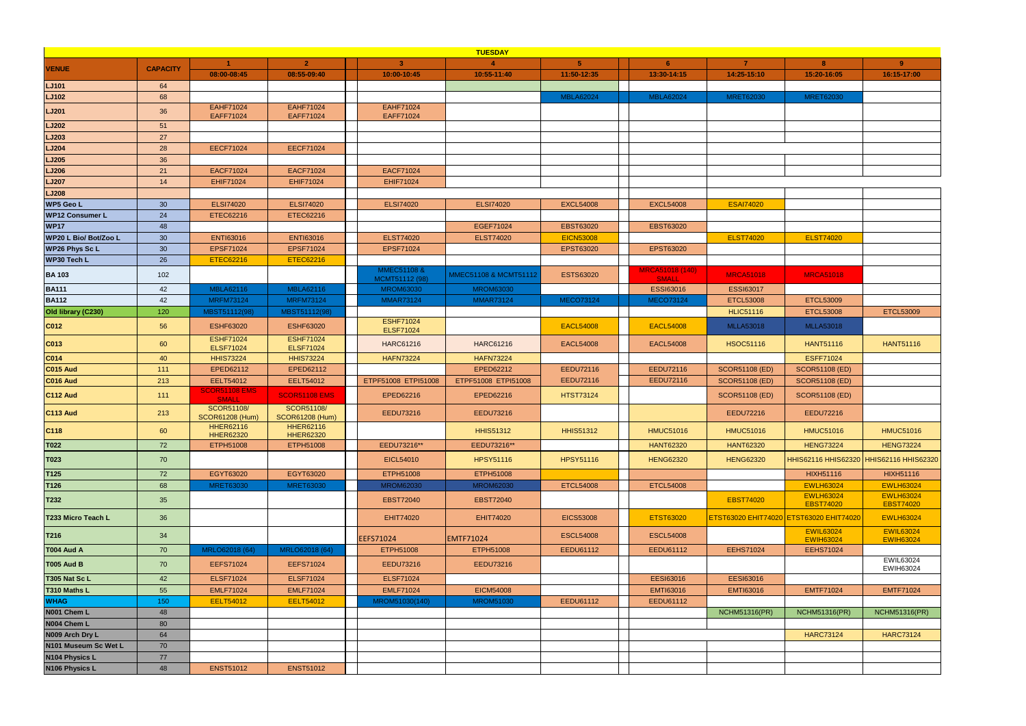|                        |                 |                                             |                                             |                                      | <b>TUESDAY</b>        |                  |                                        |                                         |                                         |                                      |
|------------------------|-----------------|---------------------------------------------|---------------------------------------------|--------------------------------------|-----------------------|------------------|----------------------------------------|-----------------------------------------|-----------------------------------------|--------------------------------------|
| <b>VENUE</b>           | <b>CAPACITY</b> |                                             | 2 <sup>7</sup>                              | 3 <sup>1</sup>                       |                       | 5 <sup>1</sup>   | 6 <sup>1</sup>                         | $\overline{7}$                          | 8                                       | $9^{\circ}$                          |
|                        |                 | 08:00-08:45                                 | 08:55-09:40                                 | 10:00-10:45                          | 10:55-11:40           | 11:50-12:35      | 13:30-14:15                            | 14:25-15:10                             | 15:20-16:05                             | 16:15-17:00                          |
| LJ101                  | 64              |                                             |                                             |                                      |                       |                  |                                        |                                         |                                         |                                      |
| <b>LJ102</b>           | 68              |                                             |                                             |                                      |                       | MBLA62024        | <b>MBLA62024</b>                       | <b>MRET62030</b>                        | <b>MRET62030</b>                        |                                      |
| <b>LJ201</b>           | 36              | <b>EAHF71024</b><br>EAFF71024               | <b>EAHF71024</b><br>EAFF71024               | <b>EAHF71024</b><br>EAFF71024        |                       |                  |                                        |                                         |                                         |                                      |
| <b>LJ202</b>           | 51              |                                             |                                             |                                      |                       |                  |                                        |                                         |                                         |                                      |
| LJ203                  | 27              |                                             |                                             |                                      |                       |                  |                                        |                                         |                                         |                                      |
| <b>LJ204</b>           | 28              | <b>EECF71024</b>                            | <b>EECF71024</b>                            |                                      |                       |                  |                                        |                                         |                                         |                                      |
| <b>LJ205</b>           | 36              |                                             |                                             |                                      |                       |                  |                                        |                                         |                                         |                                      |
| <b>LJ206</b>           | 21              | <b>EACF71024</b>                            | <b>EACF71024</b>                            | <b>EACF71024</b>                     |                       |                  |                                        |                                         |                                         |                                      |
| <b>LJ207</b>           | 14              | <b>EHIF71024</b>                            | <b>EHIF71024</b>                            | EHIF71024                            |                       |                  |                                        |                                         |                                         |                                      |
| <b>LJ208</b>           |                 |                                             |                                             |                                      |                       |                  |                                        |                                         |                                         |                                      |
| <b>WP5 Geo L</b>       | 30 <sup>°</sup> | <b>ELSI74020</b>                            | <b>ELSI74020</b>                            | <b>ELSI74020</b>                     | <b>ELSI74020</b>      | <b>EXCL54008</b> | <b>EXCL54008</b>                       | <b>ESAI74020</b>                        |                                         |                                      |
| <b>WP12 Consumer L</b> | 24              | ETEC62216                                   | ETEC62216                                   |                                      |                       |                  |                                        |                                         |                                         |                                      |
| <b>WP17</b>            | 48              |                                             |                                             |                                      | EGEF71024             | <b>EBST63020</b> | <b>EBST63020</b>                       |                                         |                                         |                                      |
| WP20 L Bio/ Bot/Zoo L  | 30 <sup>°</sup> | <b>ENTI63016</b>                            | <b>ENTI63016</b>                            | <b>ELST74020</b>                     | <b>ELST74020</b>      | <b>EICN53008</b> |                                        | <b>ELST74020</b>                        | <b>ELST74020</b>                        |                                      |
| <b>WP26 Phys Sc L</b>  | 30 <sup>°</sup> | EPSF71024                                   | EPSF71024                                   | EPSF71024                            |                       | EPST63020        | EPST63020                              |                                         |                                         |                                      |
| WP30 Tech L            | 26              | <b>ETEC62216</b>                            | <b>ETEC62216</b>                            |                                      |                       |                  |                                        |                                         |                                         |                                      |
| <b>BA 103</b>          | 102             |                                             |                                             | MMEC51108 &<br>MCMT51112 (98)        | MMEC51108 & MCMT51112 | ESTS63020        | <b>MRCA51018 (140)</b><br><b>SMALL</b> | <b>MRCA51018</b>                        | <b>MRCA51018</b>                        |                                      |
| <b>BA111</b>           | 42              | <b>MBLA62116</b>                            | <b>MBLA62116</b>                            | <b>MROM63030</b>                     | <b>MROM63030</b>      |                  | <b>ESSI63016</b>                       | <b>ESSI63017</b>                        |                                         |                                      |
| <b>BA112</b>           | 42              | <b>MRFM73124</b>                            | <b>MRFM73124</b>                            | <b>MMAR73124</b>                     | <b>MMAR73124</b>      | <b>MECO73124</b> | <b>MECO73124</b>                       | <b>ETCL53008</b>                        | <b>ETCL53009</b>                        |                                      |
| Old library (C230)     | 120             | MBST51112(98)                               | MBST51112(98)                               |                                      |                       |                  |                                        | <b>HLIC51116</b>                        | <b>ETCL53008</b>                        | <b>ETCL53009</b>                     |
| C012                   | 56              | <b>ESHF63020</b>                            | <b>ESHF63020</b>                            | <b>ESHF71024</b><br><b>ELSF71024</b> |                       | <b>EACL54008</b> | <b>EACL54008</b>                       | <b>MLLA53018</b>                        | <b>MLLA53018</b>                        |                                      |
| C013                   | 60              | <b>ESHF71024</b><br><b>ELSF71024</b>        | <b>ESHF71024</b><br><b>ELSF71024</b>        | <b>HARC61216</b>                     | <b>HARC61216</b>      | <b>EACL54008</b> | <b>EACL54008</b>                       | HSOC51116                               | <b>HANT51116</b>                        | <b>HANT51116</b>                     |
| CO14                   | 40              | <b>HHIS73224</b>                            | <b>HHIS73224</b>                            | <b>HAFN73224</b>                     | <b>HAFN73224</b>      |                  |                                        |                                         | <b>ESFF71024</b>                        |                                      |
| <b>C015 Aud</b>        | 111             | EPED62112                                   | EPED62112                                   |                                      | EPED62212             | EEDU72116        | EEDU72116                              | <b>SCOR51108 (ED)</b>                   | <b>SCOR51108 (ED)</b>                   |                                      |
| <b>C016 Aud</b>        | 213             | EELT54012                                   | EELT54012                                   | ETPF51008 ETPI51008                  | ETPF51008 ETPI51008   | <b>EEDU72116</b> | EEDU72116                              | <b>SCOR51108 (ED)</b>                   | <b>SCOR51108 (ED)</b>                   |                                      |
| C112 Aud               | 111             | <b>SCOR51108 EMS</b><br><b>SMALL</b>        | <b>SCOR51108 EMS</b>                        | EPED62216                            | EPED62216             | <b>HTST73124</b> |                                        | <b>SCOR51108 (ED)</b>                   | <b>SCOR51108 (ED)</b>                   |                                      |
| C113 Aud               | 213             | <b>SCOR51108/</b><br><b>SCOR61208 (Hum)</b> | <b>SCOR51108/</b><br><b>SCOR61208 (Hum)</b> | EEDU73216                            | EEDU73216             |                  |                                        | <b>EEDU72216</b>                        | <b>EEDU72216</b>                        |                                      |
| $ C118\rangle$         | 60              | <b>HHER62116</b><br><b>HHER62320</b>        | <b>HHER62116</b><br><b>HHER62320</b>        |                                      | <b>HHIS51312</b>      | <b>HHIS51312</b> | <b>HMUC51016</b>                       | <b>HMUC51016</b>                        | <b>HMUC51016</b>                        | <b>HMUC51016</b>                     |
| <b>T022</b>            | 72              | ETPH51008                                   | ETPH51008                                   | EEDU73216**                          | EEDU73216**           |                  | <b>HANT62320</b>                       | <b>HANT62320</b>                        | <b>HENG73224</b>                        | <b>HENG73224</b>                     |
| T023                   | 70              |                                             |                                             | EICL54010                            | <b>HPSY51116</b>      | <b>HPSY51116</b> | <b>HENG62320</b>                       | <b>HENG62320</b>                        | HHIS62116 HHIS62320 HHIS62116 HHIS62320 |                                      |
| T125                   | 72              | EGYT63020                                   | EGYT63020                                   | ETPH51008                            | ETPH51008             |                  |                                        |                                         | <b>HIXH51116</b>                        | <b>HIXH51116</b>                     |
| T126                   | 68              | <b>MRET63030</b>                            | <b>MRET63030</b>                            | <b>MROM62030</b>                     | <b>MROM62030</b>      | <b>ETCL54008</b> | <b>ETCL54008</b>                       |                                         | <b>EWLH63024</b>                        | <b>EWLH63024</b>                     |
| T232                   | 35              |                                             |                                             | <b>EBST72040</b>                     | <b>EBST72040</b>      |                  |                                        | <b>EBST74020</b>                        | <b>EWLH63024</b><br><b>EBST74020</b>    | <b>EWLH63024</b><br><b>EBST74020</b> |
| T233 Micro Teach L     | 36              |                                             |                                             | <b>EHIT74020</b>                     | EHIT74020             | <b>EICS53008</b> | <b>ETST63020</b>                       | ETST63020 EHIT74020 ETST63020 EHIT74020 |                                         | <b>EWLH63024</b>                     |
| T216                   | 34              |                                             |                                             | EEFS71024                            | <b>EMTF71024</b>      | <b>ESCL54008</b> | <b>ESCL54008</b>                       |                                         | <b>EWIL63024</b><br><b>EWIH63024</b>    | <b>EWIL63024</b><br><b>EWIH63024</b> |
| <b>T004 Aud A</b>      | 70              | MRLO62018 (64)                              | MRLO62018 (64)                              | ETPH51008                            | ETPH51008             | EEDU61112        | EEDU61112                              | <b>EEHS71024</b>                        | <b>EEHS71024</b>                        |                                      |
| <b>T005 Aud B</b>      | 70              | <b>EEFS71024</b>                            | <b>EEFS71024</b>                            | EEDU73216                            | EEDU73216             |                  |                                        |                                         |                                         | EWIL63024<br>EWIH63024               |
| T305 Nat Sc L          | 42              | <b>ELSF71024</b>                            | <b>ELSF71024</b>                            | <b>ELSF71024</b>                     |                       |                  | <b>EESI63016</b>                       | <b>EESI63016</b>                        |                                         |                                      |
| T310 Maths L           | 55              | <b>EMLF71024</b>                            | <b>EMLF71024</b>                            | <b>EMLF71024</b>                     | <b>EICM54008</b>      |                  | <b>EMTI63016</b>                       | <b>EMTI63016</b>                        | <b>EMTF71024</b>                        | <b>EMTF71024</b>                     |
| <b>WHAG</b>            | 150             | <b>EELT54012</b>                            | <b>EELT54012</b>                            | MROM51030(140)                       | <b>MROM51030</b>      | EEDU61112        | EEDU61112                              |                                         |                                         |                                      |
| N001 Chem L            | 48              |                                             |                                             |                                      |                       |                  |                                        | <b>NCHM51316(PR)</b>                    | <b>NCHM51316(PR)</b>                    | <b>NCHM51316(PR)</b>                 |
| N004 Chem L            | 80              |                                             |                                             |                                      |                       |                  |                                        |                                         |                                         |                                      |
| N009 Arch Dry L        | 64              |                                             |                                             |                                      |                       |                  |                                        |                                         | <b>HARC73124</b>                        | <b>HARC73124</b>                     |
| N101 Museum Sc Wet L   | 70              |                                             |                                             |                                      |                       |                  |                                        |                                         |                                         |                                      |
| N104 Physics L         | 77              |                                             |                                             |                                      |                       |                  |                                        |                                         |                                         |                                      |
| N106 Physics L         | 48              | <b>ENST51012</b>                            | <b>ENST51012</b>                            |                                      |                       |                  |                                        |                                         |                                         |                                      |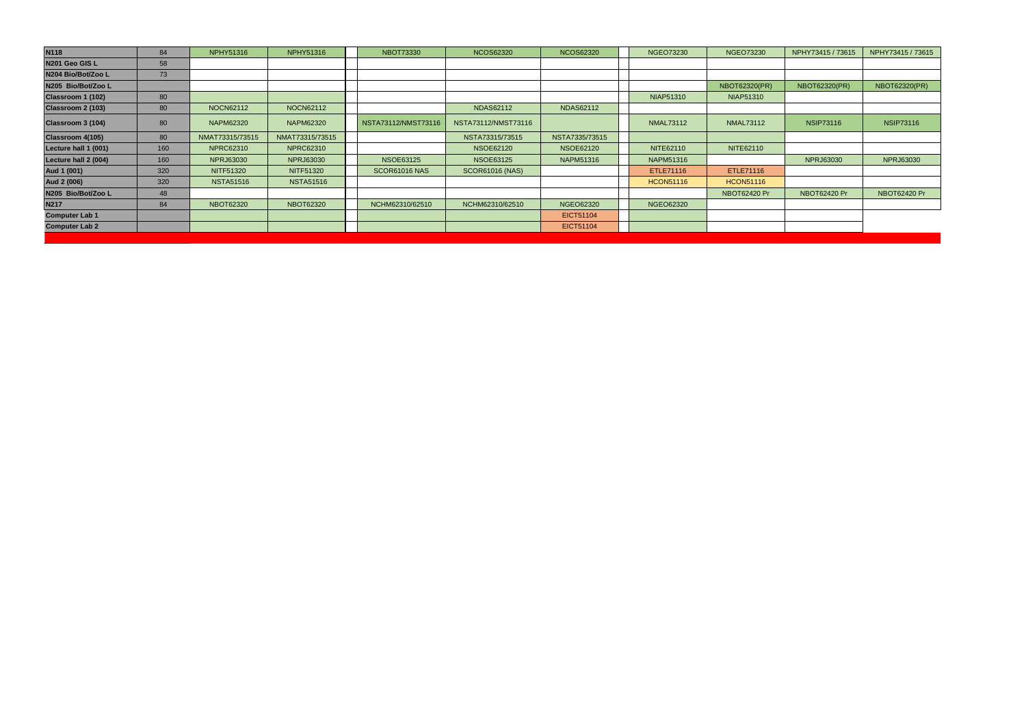| N201 Geo GIS L<br>58<br>N204 Bio/Bot/Zoo L<br>73<br>NBOT62320(PR)<br><b>NBOT62320(PR)</b><br><b>NBOT62320(PR)</b><br>N205 Bio/Bot/Zoo L<br>80<br><b>NIAP51310</b><br><b>NIAP51310</b><br>Classroom 2 (103)<br><b>NDAS62112</b><br>80<br><b>NOCN62112</b><br><b>NOCN62112</b><br><b>NDAS62112</b><br>NSTA73112/NMST73116<br><b>NAPM62320</b><br>NSTA73112/NMST73116<br><b>NMAL73112</b><br><b>NSIP73116</b><br><b>NSIP73116</b><br>80<br><b>NAPM62320</b><br><b>NMAL73112</b><br>NMAT73315/73515<br>80<br>NMAT73315/73515<br>NSTA73315/73515<br>NSTA7335/73515<br>NITE62110<br><b>NPRC62310</b><br><b>NPRC62310</b><br><b>NSOE62120</b><br>NITE62110<br>Lecture hall 1 (001)<br>160<br><b>NSOE62120</b><br><b>NPRJ63030</b><br><b>NSOE63125</b><br><b>NSOE63125</b><br><b>NPRJ63030</b><br>Lecture hall 2 (004)<br>160<br><b>NPRJ63030</b><br><b>NAPM51316</b><br><b>NPRJ63030</b><br>NAPM51316<br>320<br>ETLE71116<br><b>NITF51320</b><br><b>NITF51320</b><br><b>SCOR61016 NAS</b><br><b>SCOR61016 (NAS)</b><br>ETLE71116 | <b>N118</b> | 84  | <b>NPHY51316</b> | <b>NPHY51316</b> | <b>NBOT73330</b> | <b>NCOS62320</b> | <b>NCOS62320</b> | <b>NGEO73230</b> | <b>NGEO73230</b> | NPHY73415 / 73615 | NPHY73415 / 73615 |
|---------------------------------------------------------------------------------------------------------------------------------------------------------------------------------------------------------------------------------------------------------------------------------------------------------------------------------------------------------------------------------------------------------------------------------------------------------------------------------------------------------------------------------------------------------------------------------------------------------------------------------------------------------------------------------------------------------------------------------------------------------------------------------------------------------------------------------------------------------------------------------------------------------------------------------------------------------------------------------------------------------------------------|-------------|-----|------------------|------------------|------------------|------------------|------------------|------------------|------------------|-------------------|-------------------|
|                                                                                                                                                                                                                                                                                                                                                                                                                                                                                                                                                                                                                                                                                                                                                                                                                                                                                                                                                                                                                           |             |     |                  |                  |                  |                  |                  |                  |                  |                   |                   |
| Classroom 1 (102)<br>Classroom 3 (104)<br>Classroom 4(105)<br>Aud 1 (001)                                                                                                                                                                                                                                                                                                                                                                                                                                                                                                                                                                                                                                                                                                                                                                                                                                                                                                                                                 |             |     |                  |                  |                  |                  |                  |                  |                  |                   |                   |
|                                                                                                                                                                                                                                                                                                                                                                                                                                                                                                                                                                                                                                                                                                                                                                                                                                                                                                                                                                                                                           |             |     |                  |                  |                  |                  |                  |                  |                  |                   |                   |
|                                                                                                                                                                                                                                                                                                                                                                                                                                                                                                                                                                                                                                                                                                                                                                                                                                                                                                                                                                                                                           |             |     |                  |                  |                  |                  |                  |                  |                  |                   |                   |
|                                                                                                                                                                                                                                                                                                                                                                                                                                                                                                                                                                                                                                                                                                                                                                                                                                                                                                                                                                                                                           |             |     |                  |                  |                  |                  |                  |                  |                  |                   |                   |
|                                                                                                                                                                                                                                                                                                                                                                                                                                                                                                                                                                                                                                                                                                                                                                                                                                                                                                                                                                                                                           |             |     |                  |                  |                  |                  |                  |                  |                  |                   |                   |
|                                                                                                                                                                                                                                                                                                                                                                                                                                                                                                                                                                                                                                                                                                                                                                                                                                                                                                                                                                                                                           |             |     |                  |                  |                  |                  |                  |                  |                  |                   |                   |
|                                                                                                                                                                                                                                                                                                                                                                                                                                                                                                                                                                                                                                                                                                                                                                                                                                                                                                                                                                                                                           |             |     |                  |                  |                  |                  |                  |                  |                  |                   |                   |
|                                                                                                                                                                                                                                                                                                                                                                                                                                                                                                                                                                                                                                                                                                                                                                                                                                                                                                                                                                                                                           |             |     |                  |                  |                  |                  |                  |                  |                  |                   |                   |
|                                                                                                                                                                                                                                                                                                                                                                                                                                                                                                                                                                                                                                                                                                                                                                                                                                                                                                                                                                                                                           |             |     |                  |                  |                  |                  |                  |                  |                  |                   |                   |
|                                                                                                                                                                                                                                                                                                                                                                                                                                                                                                                                                                                                                                                                                                                                                                                                                                                                                                                                                                                                                           | Aud 2 (006) | 320 | <b>NSTA51516</b> | <b>NSTA51516</b> |                  |                  |                  | <b>HCON51116</b> | <b>HCON51116</b> |                   |                   |
| NBOT62420 Pr<br>N205 Bio/Bot/Zoo L<br>NBOT62420 Pr<br><b>NBOT62420 Pr</b><br>48                                                                                                                                                                                                                                                                                                                                                                                                                                                                                                                                                                                                                                                                                                                                                                                                                                                                                                                                           |             |     |                  |                  |                  |                  |                  |                  |                  |                   |                   |
| <b>N217</b><br><b>NBOT62320</b><br><b>NBOT62320</b><br>NCHM62310/62510<br><b>NGEO62320</b><br><b>NGEO62320</b><br>84<br>NCHM62310/62510                                                                                                                                                                                                                                                                                                                                                                                                                                                                                                                                                                                                                                                                                                                                                                                                                                                                                   |             |     |                  |                  |                  |                  |                  |                  |                  |                   |                   |
| <b>Computer Lab 1</b><br>EICT51104                                                                                                                                                                                                                                                                                                                                                                                                                                                                                                                                                                                                                                                                                                                                                                                                                                                                                                                                                                                        |             |     |                  |                  |                  |                  |                  |                  |                  |                   |                   |
| <b>Computer Lab 2</b><br>EICT51104                                                                                                                                                                                                                                                                                                                                                                                                                                                                                                                                                                                                                                                                                                                                                                                                                                                                                                                                                                                        |             |     |                  |                  |                  |                  |                  |                  |                  |                   |                   |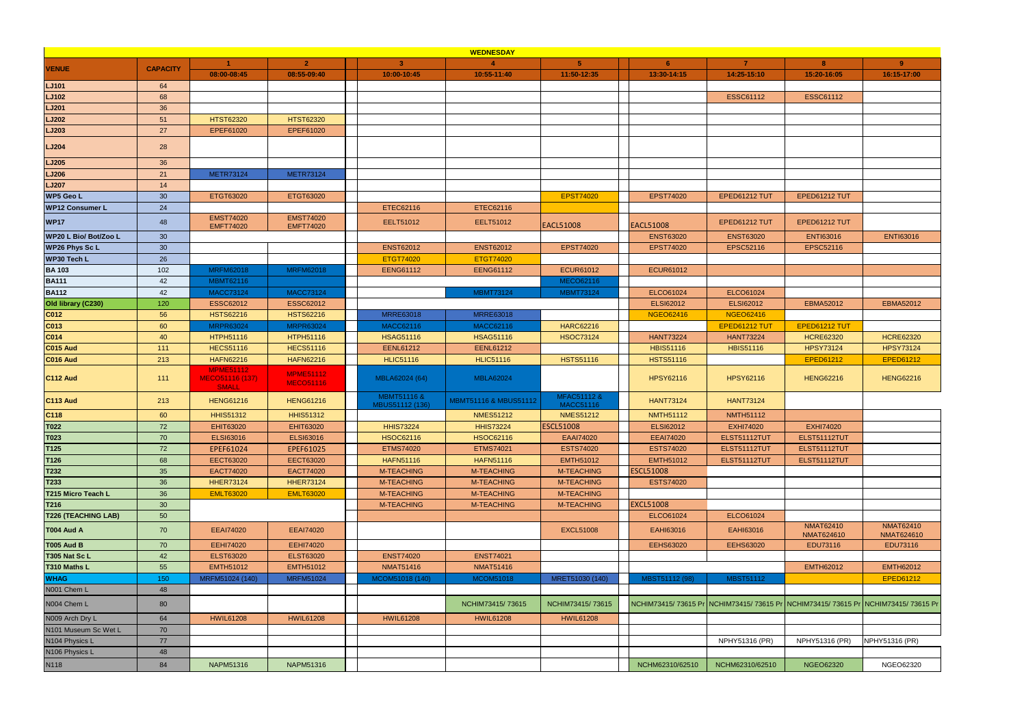|                            |                 |                                                            |                                      |                                | <b>WEDNESDAY</b>      |                                 |                  |                      |                                                                                 |                                |
|----------------------------|-----------------|------------------------------------------------------------|--------------------------------------|--------------------------------|-----------------------|---------------------------------|------------------|----------------------|---------------------------------------------------------------------------------|--------------------------------|
| <b>VENUE</b>               | <b>CAPACITY</b> |                                                            | $\overline{2}$                       | $\mathbf{R}$                   |                       | 5                               | 6                | $\overline{7}$       | 8                                                                               | $9^{\circ}$                    |
|                            |                 | 08:00-08:45                                                | 08:55-09:40                          | 10:00-10:45                    | 10:55-11:40           | 11:50-12:35                     | 13:30-14:15      | 14:25-15:10          | 15:20-16:05                                                                     | 16:15-17:00                    |
| <b>LJ101</b>               | 64              |                                                            |                                      |                                |                       |                                 |                  |                      |                                                                                 |                                |
| <b>LJ102</b>               | 68              |                                                            |                                      |                                |                       |                                 |                  | <b>ESSC61112</b>     | <b>ESSC61112</b>                                                                |                                |
| <b>LJ201</b>               | 36              |                                                            |                                      |                                |                       |                                 |                  |                      |                                                                                 |                                |
| <b>LJ202</b>               | 51              | <b>HTST62320</b>                                           | <b>HTST62320</b>                     |                                |                       |                                 |                  |                      |                                                                                 |                                |
| <b>LJ203</b>               | 27              | EPEF61020                                                  | EPEF61020                            |                                |                       |                                 |                  |                      |                                                                                 |                                |
| <b>LJ204</b>               | 28              |                                                            |                                      |                                |                       |                                 |                  |                      |                                                                                 |                                |
| <b>LJ205</b>               | 36              |                                                            |                                      |                                |                       |                                 |                  |                      |                                                                                 |                                |
| LJ206                      | 21              | <b>METR73124</b>                                           | <b>METR73124</b>                     |                                |                       |                                 |                  |                      |                                                                                 |                                |
| <b>LJ207</b>               | 14              |                                                            |                                      |                                |                       |                                 |                  |                      |                                                                                 |                                |
| <b>WP5 Geo L</b>           | 30 <sup>°</sup> | ETGT63020                                                  | ETGT63020                            |                                |                       | <b>EPST74020</b>                | <b>EPST74020</b> | <b>EPED61212 TUT</b> | EPED61212 TUT                                                                   |                                |
| <b>WP12 Consumer L</b>     | 24              |                                                            |                                      | ETEC62116                      | ETEC62116             |                                 |                  |                      |                                                                                 |                                |
| <b>WP17</b>                | 48              | <b>EMST74020</b><br><b>EMFT74020</b>                       | <b>EMST74020</b><br><b>EMFT74020</b> | EELT51012                      | EELT51012             | <b>EACL51008</b>                | <b>EACL51008</b> | <b>EPED61212 TUT</b> | EPED61212 TUT                                                                   |                                |
| WP20 L Bio/ Bot/Zoo L      | 30              |                                                            |                                      |                                |                       |                                 | <b>ENST63020</b> | <b>ENST63020</b>     | <b>ENTI63016</b>                                                                | <b>ENTI63016</b>               |
| <b>WP26 Phys Sc L</b>      | 30 <sup>°</sup> |                                                            |                                      | <b>ENST62012</b>               | <b>ENST62012</b>      | <b>EPST74020</b>                | <b>EPST74020</b> | EPSC52116            | EPSC52116                                                                       |                                |
| WP30 Tech L                | 26              |                                                            |                                      | ETGT74020                      | <b>ETGT74020</b>      |                                 |                  |                      |                                                                                 |                                |
| <b>BA103</b>               | 102             | <b>MRFM62018</b>                                           | <b>MRFM62018</b>                     | <b>EENG61112</b>               | <b>EENG61112</b>      | <b>ECUR61012</b>                | <b>ECUR61012</b> |                      |                                                                                 |                                |
| <b>BA111</b>               | 42              | <b>MBMT62116</b>                                           |                                      |                                |                       | MECO62116                       |                  |                      |                                                                                 |                                |
| <b>BA112</b>               | 42              | <b>MACC73124</b>                                           | <b>MACC73124</b>                     |                                | <b>MBMT73124</b>      | <b>MBMT73124</b>                | ELCO61024        | ELCO61024            |                                                                                 |                                |
| Old library (C230)         | 120             | <b>ESSC62012</b>                                           | ESSC62012                            |                                |                       |                                 | ELSI62012        | ELSI62012            | <b>EBMA52012</b>                                                                | <b>EBMA52012</b>               |
| C012                       | 56              | <b>HSTS62216</b>                                           | <b>HSTS62216</b>                     | <b>MRRE63018</b>               | <b>MRRE63018</b>      |                                 | <b>NGEO62416</b> | <b>NGEO62416</b>     |                                                                                 |                                |
| C013                       | 60              | <b>MRPR63024</b>                                           | <b>MRPR63024</b>                     | <b>MACC62116</b>               | <b>MACC62116</b>      | <b>HARC62216</b>                |                  | EPED61212 TUT        | EPED61212 TUT                                                                   |                                |
| C014                       | 40              | HTPH51116                                                  | HTPH51116                            | <b>HSAG51116</b>               | <b>HSAG51116</b>      | <b>HSOC73124</b>                | <b>HANT73224</b> | <b>HANT73224</b>     | <b>HCRE62320</b>                                                                | <b>HCRE62320</b>               |
| <b>C015 Aud</b>            | 111             | <b>HECS51116</b>                                           | <b>HECS51116</b>                     | <b>EENL61212</b>               | <b>EENL61212</b>      |                                 | <b>HBIS51116</b> | <b>HBIS51116</b>     | <b>HPSY73124</b>                                                                | <b>HPSY73124</b>               |
| <b>C016 Aud</b>            | 213             | <b>HAFN62216</b>                                           | <b>HAFN62216</b>                     | <b>HLIC51116</b>               | <b>HLIC51116</b>      | <b>HSTS51116</b>                | <b>HSTS51116</b> |                      | <b>EPED61212</b>                                                                | EPED61212                      |
| <b>C112 Aud</b>            | 111             | <b>MPME51112</b><br><b>MECO51116 (137)</b><br><b>SMALL</b> | <b>MPME51112</b><br><b>MECO51116</b> | MBLA62024 (64)                 | <b>MBLA62024</b>      |                                 | <b>HPSY62116</b> | <b>HPSY62116</b>     | <b>HENG62216</b>                                                                | <b>HENG62216</b>               |
| <b>C113 Aud</b>            | 213             | <b>HENG61216</b>                                           | <b>HENG61216</b>                     | MBMT51116 &<br>MBUS51112 (136) | MBMT51116 & MBUS51112 | MFAC51112 &<br><b>MACC51116</b> | <b>HANT73124</b> | <b>HANT73124</b>     |                                                                                 |                                |
| C <sub>118</sub>           | 60              | <b>HHIS51312</b>                                           | <b>HHIS51312</b>                     |                                | <b>NMES51212</b>      | <b>NMES51212</b>                | <b>NMTH51112</b> | <b>NMTH51112</b>     |                                                                                 |                                |
| T022                       | 72              | <b>EHIT63020</b>                                           | <b>EHIT63020</b>                     | <b>HHIS73224</b>               | <b>HHIS73224</b>      | <b>ESCL51008</b>                | ELSI62012        | <b>EXHI74020</b>     | <b>EXHI74020</b>                                                                |                                |
| T023<br>T125               | 70              | <b>ELSI63016</b>                                           | <b>ELSI63016</b>                     | <b>HSOC62116</b>               | <b>HSOC62116</b>      | <b>EAAI74020</b>                | <b>EEAI74020</b> | ELST51112TUT         | ELST51112TUT                                                                    |                                |
|                            | 72              | EPEF61024                                                  | EPEF61025                            | <b>ETMS74020</b>               | <b>ETMS74021</b>      | <b>ESTS74020</b>                | <b>ESTS74020</b> | ELST51112TUT         | ELST51112TUT                                                                    |                                |
| T126                       | 68              | <b>EECT63020</b>                                           | <b>EECT63020</b>                     | <b>HAFN51116</b>               | <b>HAFN51116</b>      | EMTH51012                       | <b>EMTH51012</b> | ELST51112TUT         | ELST51112TUT                                                                    |                                |
| T232                       | 35              | EACT74020                                                  | EACT74020                            | M-TEACHING                     | M-TEACHING            | M-TEACHING                      | <b>ESCL51008</b> |                      |                                                                                 |                                |
| T233                       | 36              | <b>HHER73124</b>                                           | <b>HHER73124</b>                     | M-TEACHING                     | M-TEACHING            | M-TEACHING                      | <b>ESTS74020</b> |                      |                                                                                 |                                |
| T215 Micro Teach L         | 36              | <b>EMLT63020</b>                                           | <b>EMLT63020</b>                     | M-TEACHING                     | <b>M-TEACHING</b>     | M-TEACHING                      |                  |                      |                                                                                 |                                |
| T216                       | 30              |                                                            |                                      | <b>M-TEACHING</b>              | M-TEACHING            | M-TEACHING                      | <b>EXCL51008</b> |                      |                                                                                 |                                |
| <b>T226 (TEACHING LAB)</b> | 50              |                                                            |                                      |                                |                       |                                 | ELCO61024        | ELCO61024            |                                                                                 |                                |
| T004 Aud A                 | 70              | <b>EEAI74020</b>                                           | <b>EEAI74020</b>                     |                                |                       | <b>EXCL51008</b>                | EAHI63016        | EAHI63016            | <b>NMAT62410</b><br>NMAT624610                                                  | <b>NMAT62410</b><br>NMAT624610 |
| <b>T005 Aud B</b>          | 70              | <b>EEHI74020</b>                                           | <b>EEHI74020</b>                     |                                |                       |                                 | <b>EEHS63020</b> | <b>EEHS63020</b>     | EDU73116                                                                        | EDU73116                       |
| T305 Nat Sc L              | 42              | <b>ELST63020</b>                                           | <b>ELST63020</b>                     | <b>ENST74020</b>               | <b>ENST74021</b>      |                                 |                  |                      |                                                                                 |                                |
| T310 Maths L               | 55              | <b>EMTH51012</b>                                           | <b>EMTH51012</b>                     | <b>NMAT51416</b>               | <b>NMAT51416</b>      |                                 |                  |                      | <b>EMTH62012</b>                                                                | EMTH62012                      |
| <b>WHAG</b>                | 150             | MRFM51024 (140)                                            | <b>MRFM51024</b>                     | MCOM51018 (140)                | MCOM51018             | MRET51030 (140)                 | MBST51112 (98)   | <b>MBST51112</b>     |                                                                                 | EPED61212                      |
| N001 Chem L                | 48              |                                                            |                                      |                                |                       |                                 |                  |                      |                                                                                 |                                |
| N004 Chem L                | 80              |                                                            |                                      |                                | NCHIM73415/73615      | NCHIM73415/73615                |                  |                      | NCHIM73415/73615 Pr NCHIM73415/73615 Pr NCHIM73415/73615 Pr NCHIM73415/73615 Pr |                                |
| N009 Arch Dry L            | 64              | <b>HWIL61208</b>                                           | <b>HWIL61208</b>                     | <b>HWIL61208</b>               | <b>HWIL61208</b>      | <b>HWIL61208</b>                |                  |                      |                                                                                 |                                |
| N101 Museum Sc Wet L       | 70              |                                                            |                                      |                                |                       |                                 |                  |                      |                                                                                 |                                |
| N104 Physics L             | 77              |                                                            |                                      |                                |                       |                                 |                  | NPHY51316 (PR)       | NPHY51316 (PR)                                                                  | NPHY51316 (PR)                 |
| N106 Physics L             | 48              |                                                            |                                      |                                |                       |                                 |                  |                      |                                                                                 |                                |
| N118                       | 84              | NAPM51316                                                  | NAPM51316                            |                                |                       |                                 | NCHM62310/62510  | NCHM62310/62510      | <b>NGEO62320</b>                                                                | NGEO62320                      |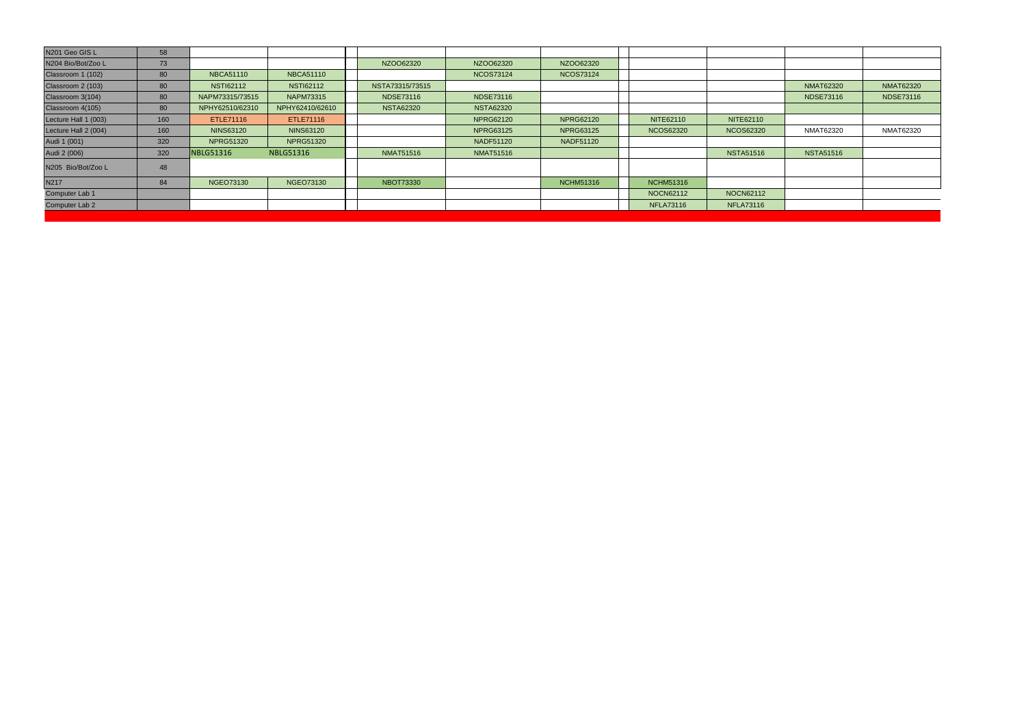| N201 Geo GIS L       | 58  |                  |                  |                  |                  |                  |                  |                  |                  |                  |
|----------------------|-----|------------------|------------------|------------------|------------------|------------------|------------------|------------------|------------------|------------------|
| N204 Bio/Bot/Zoo L   | 73  |                  |                  | NZO062320        | NZOO62320        | NZO062320        |                  |                  |                  |                  |
| Classroom 1 (102)    | 80  | <b>NBCA51110</b> | <b>NBCA51110</b> |                  | <b>NCOS73124</b> | <b>NCOS73124</b> |                  |                  |                  |                  |
| Classroom 2 (103)    | 80  | <b>NSTI62112</b> | <b>NSTI62112</b> | NSTA73315/73515  |                  |                  |                  |                  | <b>NMAT62320</b> | <b>NMAT62320</b> |
| Classroom 3(104)     | 80  | NAPM73315/73515  | <b>NAPM73315</b> | <b>NDSE73116</b> | <b>NDSE73116</b> |                  |                  |                  | <b>NDSE73116</b> | <b>NDSE73116</b> |
| Classroom 4(105)     | 80  | NPHY62510/62310  | NPHY62410/62610  | <b>NSTA62320</b> | <b>NSTA62320</b> |                  |                  |                  |                  |                  |
| Lecture Hall 1 (003) | 160 | ETLE71116        | ETLE71116        |                  | <b>NPRG62120</b> | <b>NPRG62120</b> | NITE62110        | NITE62110        |                  |                  |
| Lecture Hall 2 (004) | 160 | <b>NINS63120</b> | <b>NINS63120</b> |                  | <b>NPRG63125</b> | <b>NPRG63125</b> | <b>NCOS62320</b> | <b>NCOS62320</b> | NMAT62320        | <b>NMAT62320</b> |
| Audi 1 (001)         | 320 | <b>NPRG51320</b> | <b>NPRG51320</b> |                  | <b>NADF51120</b> | <b>NADF51120</b> |                  |                  |                  |                  |
| Audi 2 (006)         | 320 | <b>VBLG51316</b> | <b>NBLG51316</b> | <b>NMAT51516</b> | <b>NMAT51516</b> |                  |                  | <b>NSTA51516</b> | <b>NSTA51516</b> |                  |
| N205 Bio/Bot/Zoo L   | 48  |                  |                  |                  |                  |                  |                  |                  |                  |                  |
| N217                 | 84  | <b>NGEO73130</b> | NGEO73130        | <b>NBOT73330</b> |                  | <b>NCHM51316</b> | <b>NCHM51316</b> |                  |                  |                  |
| Computer Lab 1       |     |                  |                  |                  |                  |                  | NOCN62112        | NOCN62112        |                  |                  |
| Computer Lab 2       |     |                  |                  |                  |                  |                  | <b>NFLA73116</b> | <b>NFLA73116</b> |                  |                  |
|                      |     |                  |                  |                  |                  |                  |                  |                  |                  |                  |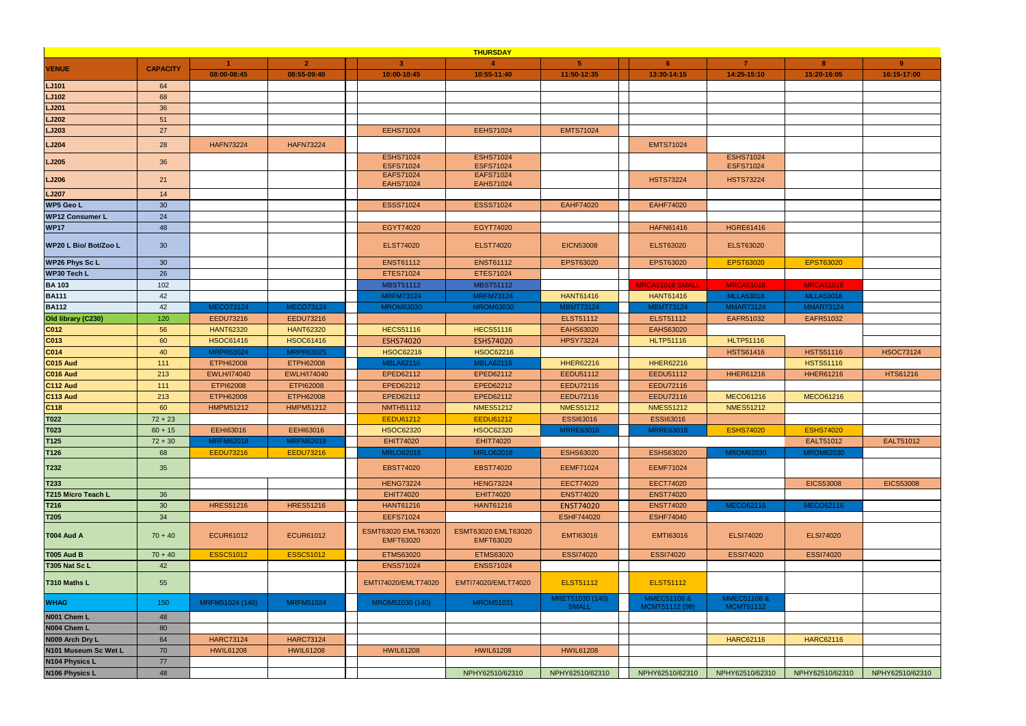|                        |                 |                    |                    |                                         | <b>THURSDAY</b>                         |                  |                  |                                      |                  |                  |
|------------------------|-----------------|--------------------|--------------------|-----------------------------------------|-----------------------------------------|------------------|------------------|--------------------------------------|------------------|------------------|
|                        |                 |                    | $\overline{2}$     | $\mathbf{3}$                            |                                         | -5.              | 6                | $\overline{7}$                       | 8                | $9^{\circ}$      |
| <b>VENUE</b>           | <b>CAPACITY</b> | 08:00-08:45        | 08:55-09:40        | 10:00-10:45                             | 10:55-11:40                             | 11:50-12:35      | 13:30-14:15      | 14:25-15:10                          | 15:20-16:05      | 16:15-17:00      |
| <b>LJ101</b>           | 64              |                    |                    |                                         |                                         |                  |                  |                                      |                  |                  |
| <b>LJ102</b>           | 68              |                    |                    |                                         |                                         |                  |                  |                                      |                  |                  |
| <b>LJ201</b>           | 36              |                    |                    |                                         |                                         |                  |                  |                                      |                  |                  |
| <b>LJ202</b>           | 51              |                    |                    |                                         |                                         |                  |                  |                                      |                  |                  |
| <b>LJ203</b>           | 27              |                    |                    | <b>EEHS71024</b>                        | <b>EEHS71024</b>                        | <b>EMTS71024</b> |                  |                                      |                  |                  |
| <b>LJ204</b>           | 28              | <b>HAFN73224</b>   | <b>HAFN73224</b>   |                                         |                                         |                  | <b>EMTS71024</b> |                                      |                  |                  |
| <b>LJ205</b>           | 36              |                    |                    | <b>ESHS71024</b><br><b>ESFS71024</b>    | <b>ESHS71024</b><br><b>ESFS71024</b>    |                  |                  | <b>ESHS71024</b><br><b>ESFS71024</b> |                  |                  |
| <b>LJ206</b>           | 21              |                    |                    | <b>EAFS71024</b><br><b>EAHS71024</b>    | <b>EAFS71024</b><br><b>EAHS71024</b>    |                  | <b>HSTS73224</b> | <b>HSTS73224</b>                     |                  |                  |
| <b>LJ207</b>           | 14              |                    |                    |                                         |                                         |                  |                  |                                      |                  |                  |
| WP5 Geo L              | 30              |                    |                    | <b>ESSS71024</b>                        | <b>ESSS71024</b>                        | <b>EAHF74020</b> | <b>EAHF74020</b> |                                      |                  |                  |
| <b>WP12 Consumer L</b> | 24              |                    |                    |                                         |                                         |                  |                  |                                      |                  |                  |
| <b>WP17</b>            | 48              |                    |                    | EGYT74020                               | EGYT74020                               |                  | <b>HAFN61416</b> | <b>HGRE61416</b>                     |                  |                  |
| WP20 L Bio/ Bot/Zoo L  | 30 <sup>°</sup> |                    |                    | <b>ELST74020</b>                        | <b>ELST74020</b>                        | <b>EICN53008</b> | <b>ELST63020</b> | <b>ELST63020</b>                     |                  |                  |
| <b>WP26 Phys Sc L</b>  | 30              |                    |                    | <b>ENST61112</b>                        | <b>ENST61112</b>                        | EPST63020        | EPST63020        | <b>EPST63020</b>                     | <b>EPST63020</b> |                  |
| <b>WP30 Tech L</b>     | 26              |                    |                    | <b>ETES71024</b>                        | ETES71024                               |                  |                  |                                      |                  |                  |
| <b>BA103</b>           | 102             |                    |                    | <b>MBST51112</b>                        | <b>MBST51112</b>                        |                  | MRCA51018 SMALL  | <b>MRCA51018</b>                     | <b>MRCA51018</b> |                  |
| <b>BA111</b>           | 42              |                    |                    | <b>MRFM73124</b>                        | <b>MRFM73124</b>                        | <b>HANT61416</b> | <b>HANT61416</b> | <b>MLLA53018</b>                     | <b>MLLA53018</b> |                  |
| <b>BA112</b>           | 42              | <b>MECO73124</b>   | <b>MECO73124</b>   | <b>MROM63030</b>                        | <b>MROM63030</b>                        | <b>MBMT73124</b> | <b>MBMT73124</b> | <b>MMAR73124</b>                     | <b>MMAR73124</b> |                  |
| Old library (C230)     | 120             | EEDU73216          | EEDU73216          |                                         |                                         | <b>ELST51112</b> | <b>ELST51112</b> | EAFR51032                            | EAFR51032        |                  |
| C012                   | 56              | <b>HANT62320</b>   | <b>HANT62320</b>   | <b>HECS51116</b>                        | <b>HECS51116</b>                        | EAHS63020        | <b>EAHS63020</b> |                                      |                  |                  |
| CO13                   | 60              | <b>HSOC61416</b>   | <b>HSOC61416</b>   | ESHS74020                               | <b>ESHS74020</b>                        | <b>HPSY73224</b> | <b>HLTP51116</b> | <b>HLTP51116</b>                     |                  |                  |
| C014                   | 40              | <b>MRPR63024</b>   | <b>MRPR63025</b>   | <b>HSOC62216</b>                        | <b>HSOC62216</b>                        |                  |                  | <b>HSTS61416</b>                     | <b>HSTS51116</b> | <b>HSOC73124</b> |
| <b>C015 Aud</b>        | 111             | ETPH62008          | ETPH62008          | <b>MBLA62116</b>                        | <b>MBLA62116</b>                        | <b>HHER62216</b> | <b>HHER62216</b> |                                      | <b>HSTS51116</b> |                  |
| <b>C016 Aud</b>        | 213             | <b>EWLH/I74040</b> | <b>EWLH/I74040</b> | EPED62112                               | EPED62112                               | EEDU51112        | EEDU51112        | <b>HHER61216</b>                     | <b>HHER61216</b> | HTS61216         |
| <b>C112 Aud</b>        | 111             | <b>ETPI62008</b>   | <b>ETPI62008</b>   | EPED62212                               | EPED62212                               | <b>EEDU72116</b> | EEDU72116        |                                      |                  |                  |
| <b>C113 Aud</b>        | 213             | <b>ETPH62008</b>   | ETPH62008          | EPED62112                               | EPED62112                               | EEDU72116        | <b>EEDU72116</b> | <b>MECO61216</b>                     | <b>MECO61216</b> |                  |
| C <sub>118</sub>       | 60              | <b>HMPM51212</b>   | <b>HMPM51212</b>   | <b>NMTH51112</b>                        | <b>NMES51212</b>                        | <b>NMES51212</b> | <b>NMES51212</b> | <b>NMES51212</b>                     |                  |                  |
| T022                   | $72 + 23$       |                    |                    | <b>EEDU61212</b>                        | <b>EEDU61212</b>                        | ESSI63016        | <b>ESSI63016</b> |                                      |                  |                  |
| T023                   | $60 + 15$       | EEHI63016          | EEHI63016          | <b>HSOC62320</b>                        | <b>HSOC62320</b>                        | <b>MRRE63018</b> | <b>MRRE63018</b> | <b>ESHS74020</b>                     | <b>ESHS74020</b> |                  |
| T125                   | $72 + 30$       | <b>MRFM62018</b>   | <b>MRFM62019</b>   | <b>EHIT74020</b>                        | EHIT74020                               |                  |                  |                                      | EALT51012        | EALT51012        |
| T126                   | 68              | <b>EEDU73216</b>   | <b>EEDU73216</b>   | <b>MRLO62018</b>                        | <b>MRLO62018</b>                        | <b>ESHS63020</b> | <b>ESHS63020</b> | <b>MROM62030</b>                     | <b>MROM62030</b> |                  |
| T232                   | 35              |                    |                    | <b>EBST74020</b>                        | <b>EBST74020</b>                        | <b>EEMF71024</b> | <b>EEMF71024</b> |                                      |                  |                  |
| T233                   |                 |                    |                    | <b>HENG73224</b>                        | <b>HENG73224</b>                        | <b>EECT74020</b> | <b>EECT74020</b> |                                      | <b>EICS53008</b> | <b>EICS53008</b> |
| T215 Micro Teach L     | 36              |                    |                    | EHIT74020                               | <b>EHIT74020</b>                        | <b>ENST74020</b> | <b>ENST74020</b> |                                      |                  |                  |
| T216                   | 30              | <b>HRES51216</b>   | <b>HRES51216</b>   | <b>HANT61216</b>                        | <b>HANT61216</b>                        | <b>ENST74020</b> | <b>ENST74020</b> | <b>MECO62116</b>                     | <b>MECO62116</b> |                  |
| T205                   | 34              |                    |                    | <b>EEFS71024</b>                        |                                         | ESHF744020       | <b>ESHF74040</b> |                                      |                  |                  |
| T004 Aud A             | $70 + 40$       | <b>ECUR61012</b>   | <b>ECUR61012</b>   | ESMT63020 EMLT63020<br><b>EMFT63020</b> | ESMT63020 EMLT63020<br><b>EMFT63020</b> | <b>EMTI63016</b> | <b>EMTI63016</b> | <b>ELSI74020</b>                     | <b>ELSI74020</b> |                  |
| <b>T005 Aud B</b>      | $70 + 40$       | <b>ESSC51012</b>   | <b>ESSC51012</b>   | <b>ETMS63020</b>                        | <b>ETMS63020</b>                        | <b>ESSI74020</b> | <b>ESSI74020</b> | <b>ESSI74020</b>                     | <b>ESSI74020</b> |                  |
| T305 Nat Sc L          | 42              |                    |                    | <b>ENSS71024</b>                        | <b>ENSS71024</b>                        |                  |                  |                                      |                  |                  |
| T310 Maths L           | 55              |                    |                    | EMTI74020/EMLT74020                     | EMTI74020/EMLT74020                     | <b>ELST51112</b> | <b>ELST51112</b> |                                      |                  |                  |
| <b>WHAG</b>            | 150             | MRFM51024 (140)    | <b>MRFM51024</b>   | MROM51030 (140)                         | <b>MROM51031</b>                        | MRET51030 (140)  | MMEC51108 &      | MMEC51108 &                          |                  |                  |
| N001 Chem L            |                 |                    |                    |                                         |                                         | <b>SMALL</b>     | MCMT51112 (98)   | <b>MCMT51112</b>                     |                  |                  |
| N004 Chem L            | 48<br>80        |                    |                    |                                         |                                         |                  |                  |                                      |                  |                  |
|                        |                 |                    |                    |                                         |                                         |                  |                  |                                      |                  |                  |
| N009 Arch Dry L        | 64              | <b>HARC73124</b>   | <b>HARC73124</b>   |                                         |                                         |                  |                  | <b>HARC62116</b>                     | <b>HARC62116</b> |                  |
| N101 Museum Sc Wet L   | 70              | <b>HWIL61208</b>   | <b>HWIL61208</b>   | <b>HWIL61208</b>                        | <b>HWIL61208</b>                        | <b>HWIL61208</b> |                  |                                      |                  |                  |
| N104 Physics L         | 77              |                    |                    |                                         |                                         |                  |                  |                                      |                  |                  |
| N106 Physics L         | 48              |                    |                    |                                         | NPHY62510/62310                         | NPHY62510/62310  | NPHY62510/62310  | NPHY62510/62310                      | NPHY62510/62310  | NPHY62510/62310  |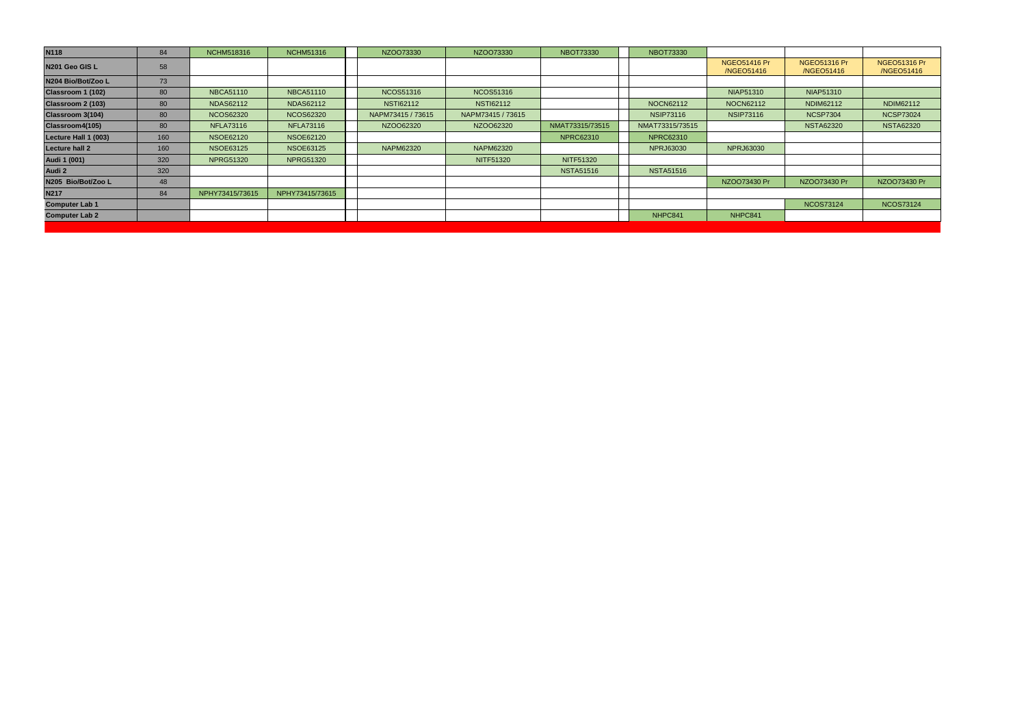| <b>N118</b>           | 84  | <b>NCHM518316</b> | <b>NCHM51316</b> | NZOO73330         | NZO073330         | <b>NBOT73330</b> | <b>NBOT73330</b> |                                   |                                   |                                   |
|-----------------------|-----|-------------------|------------------|-------------------|-------------------|------------------|------------------|-----------------------------------|-----------------------------------|-----------------------------------|
| N201 Geo GIS L        | 58  |                   |                  |                   |                   |                  |                  | <b>NGEO51416 Pr</b><br>/NGEO51416 | <b>NGEO51316 Pr</b><br>/NGEO51416 | <b>NGEO51316 Pr</b><br>/NGEO51416 |
| N204 Bio/Bot/Zoo L    | 73  |                   |                  |                   |                   |                  |                  |                                   |                                   |                                   |
| Classroom 1 (102)     | 80  | <b>NBCA51110</b>  | <b>NBCA51110</b> | <b>NCOS51316</b>  | <b>NCOS51316</b>  |                  |                  | <b>NIAP51310</b>                  | <b>NIAP51310</b>                  |                                   |
| Classroom 2 (103)     | 80  | <b>NDAS62112</b>  | <b>NDAS62112</b> | <b>NSTI62112</b>  | <b>NSTI62112</b>  |                  | NOCN62112        | NOCN62112                         | NDIM62112                         | NDIM62112                         |
| Classroom 3(104)      | 80  | <b>NCOS62320</b>  | <b>NCOS62320</b> | NAPM73415 / 73615 | NAPM73415 / 73615 |                  | <b>NSIP73116</b> | <b>NSIP73116</b>                  | <b>NCSP7304</b>                   | <b>NCSP73024</b>                  |
| Classroom4(105)       | 80  | <b>NFLA73116</b>  | <b>NFLA73116</b> | NZOO62320         | NZOO62320         | NMAT73315/73515  | NMAT73315/73515  |                                   | <b>NSTA62320</b>                  | <b>NSTA62320</b>                  |
| Lecture Hall 1 (003)  | 160 | <b>NSOE62120</b>  | <b>NSOE62120</b> |                   |                   | <b>NPRC62310</b> | <b>NPRC62310</b> |                                   |                                   |                                   |
| <b>Lecture hall 2</b> | 160 | <b>NSOE63125</b>  | <b>NSOE63125</b> | <b>NAPM62320</b>  | <b>NAPM62320</b>  |                  | <b>NPRJ63030</b> | <b>NPRJ63030</b>                  |                                   |                                   |
| Audi 1 (001)          | 320 | <b>NPRG51320</b>  | <b>NPRG51320</b> |                   | <b>NITF51320</b>  | NITF51320        |                  |                                   |                                   |                                   |
| Audi 2                | 320 |                   |                  |                   |                   | <b>NSTA51516</b> | <b>NSTA51516</b> |                                   |                                   |                                   |
| N205 Bio/Bot/Zoo L    | 48  |                   |                  |                   |                   |                  |                  | NZO073430 Pr                      | NZO073430 Pr                      | NZO073430 Pr                      |
| <b>N217</b>           | 84  | NPHY73415/73615   | NPHY73415/73615  |                   |                   |                  |                  |                                   |                                   |                                   |
| <b>Computer Lab 1</b> |     |                   |                  |                   |                   |                  |                  |                                   | <b>NCOS73124</b>                  | <b>NCOS73124</b>                  |
| <b>Computer Lab 2</b> |     |                   |                  |                   |                   |                  | NHPC841          | NHPC841                           |                                   |                                   |
|                       |     |                   |                  |                   |                   |                  |                  |                                   |                                   |                                   |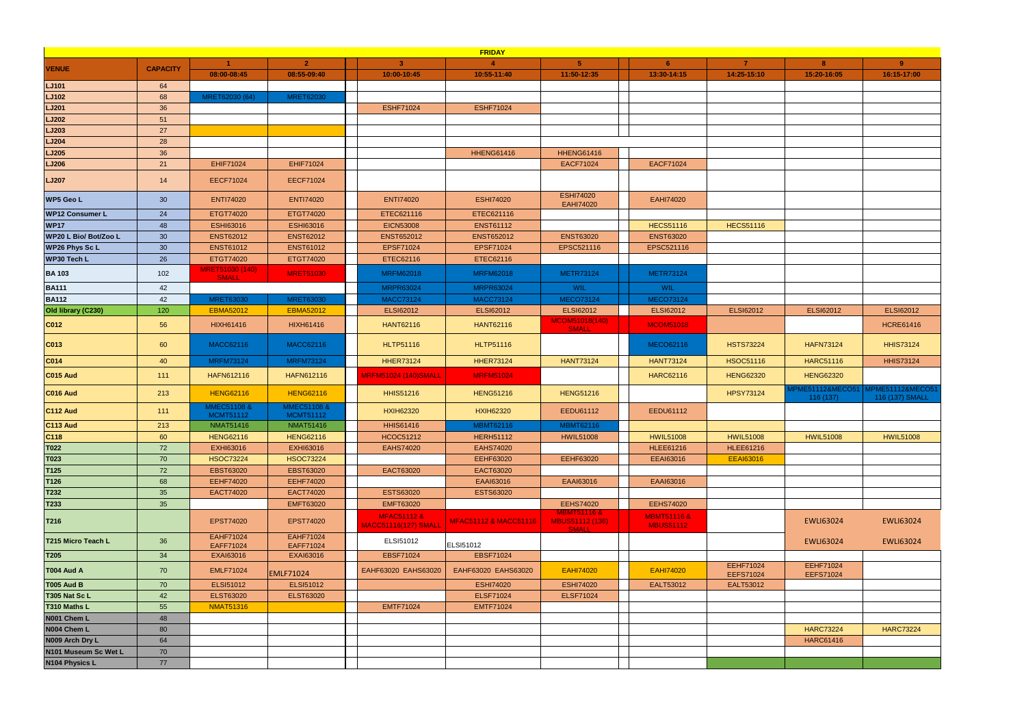|                        |                 |                                 |                                 |                                                       | <b>FRIDAY</b>         |                                            |                                            |                               |                                         |                                     |
|------------------------|-----------------|---------------------------------|---------------------------------|-------------------------------------------------------|-----------------------|--------------------------------------------|--------------------------------------------|-------------------------------|-----------------------------------------|-------------------------------------|
| <b>VENUE</b>           | <b>CAPACITY</b> |                                 | $\overline{2}$                  | 3 <sup>1</sup>                                        | $\blacktriangle$      | $-5$                                       | 6 <sup>1</sup>                             | 7                             | 8                                       | 9                                   |
|                        |                 | 08:00-08:45                     | 08:55-09:40                     | 10:00-10:45                                           | 10:55-11:40           | 11:50-12:35                                | 13:30-14:15                                | 14:25-15:10                   | 15:20-16:05                             | 16:15-17:00                         |
| <b>LJ101</b>           | 64              |                                 |                                 |                                                       |                       |                                            |                                            |                               |                                         |                                     |
| <b>LJ102</b>           | 68              | MRET62030 (64)                  | <b>MRET62030</b>                |                                                       |                       |                                            |                                            |                               |                                         |                                     |
| <b>LJ201</b>           | 36              |                                 |                                 | <b>ESHF71024</b>                                      | <b>ESHF71024</b>      |                                            |                                            |                               |                                         |                                     |
| <b>LJ202</b>           | 51              |                                 |                                 |                                                       |                       |                                            |                                            |                               |                                         |                                     |
| LJ203                  | 27              |                                 |                                 |                                                       |                       |                                            |                                            |                               |                                         |                                     |
| <b>LJ204</b>           | 28              |                                 |                                 |                                                       |                       |                                            |                                            |                               |                                         |                                     |
| <b>LJ205</b>           | 36              |                                 |                                 |                                                       | <b>HHENG61416</b>     | <b>HHENG61416</b>                          |                                            |                               |                                         |                                     |
| <b>LJ206</b>           | 21              | <b>EHIF71024</b>                | <b>EHIF71024</b>                |                                                       |                       | <b>EACF71024</b>                           | <b>EACF71024</b>                           |                               |                                         |                                     |
| <b>LJ207</b>           | 14              | <b>EECF71024</b>                | <b>EECF71024</b>                |                                                       |                       |                                            |                                            |                               |                                         |                                     |
| <b>WP5 Geo L</b>       | 30 <sup>°</sup> | <b>ENTI74020</b>                | <b>ENTI74020</b>                | <b>ENTI74020</b>                                      | <b>ESHI74020</b>      | <b>ESHI74020</b><br><b>EAHI74020</b>       | EAHI74020                                  |                               |                                         |                                     |
| <b>WP12 Consumer L</b> | 24              | ETGT74020                       | ETGT74020                       | ETEC621116                                            | ETEC621116            |                                            |                                            |                               |                                         |                                     |
| <b>WP17</b>            | 48              | <b>ESHI63016</b>                | <b>ESHI63016</b>                | <b>EICN53008</b>                                      | <b>ENST61112</b>      |                                            | <b>HECS51116</b>                           | <b>HECS51116</b>              |                                         |                                     |
| WP20 L Bio/ Bot/Zoo L  | 30              | <b>ENST62012</b>                | <b>ENST62012</b>                | <b>ENST652012</b>                                     | <b>ENST652012</b>     | <b>ENST63020</b>                           | <b>ENST63020</b>                           |                               |                                         |                                     |
| <b>WP26 Phys Sc L</b>  | 30 <sup>°</sup> | <b>ENST61012</b>                | <b>ENST61012</b>                | EPSF71024                                             | EPSF71024             | EPSC521116                                 | EPSC521116                                 |                               |                                         |                                     |
| <b>WP30 Tech L</b>     | 26              | ETGT74020                       | ETGT74020                       | ETEC62116                                             | ETEC62116             |                                            |                                            |                               |                                         |                                     |
| <b>BA103</b>           | 102             | MRET51030 (140)<br><b>SMALL</b> | <b>MRET51030</b>                | <b>MRFM62018</b>                                      | <b>MRFM62018</b>      | <b>METR73124</b>                           | <b>METR73124</b>                           |                               |                                         |                                     |
| <b>BA111</b>           | 42              |                                 |                                 | <b>MRPR63024</b>                                      | <b>MRPR63024</b>      | WIL                                        | WIL                                        |                               |                                         |                                     |
| <b>BA112</b>           | 42              | <b>MRET63030</b>                | <b>MRET63030</b>                | <b>MACC73124</b>                                      | <b>MACC73124</b>      | <b>MECO73124</b>                           | <b>MECO73124</b>                           |                               |                                         |                                     |
| Old library (C230)     | 120             | <b>EBMA52012</b>                | <b>EBMA52012</b>                | <b>ELSI62012</b>                                      | <b>ELSI62012</b>      | <b>ELSI62012</b>                           | ELSI62012                                  | <b>ELSI62012</b>              | <b>ELSI62012</b>                        | <b>ELSI62012</b>                    |
| C012                   | 56              | HIXH61416                       | HIXH61416                       | <b>HANT62116</b>                                      | <b>HANT62116</b>      | MCOM51018(140)<br><b>SMALL</b>             | <b>MCOM51018</b>                           |                               |                                         | <b>HCRE61416</b>                    |
| C013                   | 60              | <b>MACC62116</b>                | <b>MACC62116</b>                | <b>HLTP51116</b>                                      | <b>HLTP51116</b>      |                                            | MECO62116                                  | <b>HSTS73224</b>              | <b>HAFN73124</b>                        | <b>HHIS73124</b>                    |
| CO14                   | 40              | <b>MRFM73124</b>                | <b>MRFM73124</b>                | <b>HHER73124</b>                                      | <b>HHER73124</b>      | <b>HANT73124</b>                           | <b>HANT73124</b>                           | HSOC51116                     | <b>HARC51116</b>                        | <b>HHIS73124</b>                    |
| <b>C015 Aud</b>        | 111             | HAFN612116                      | HAFN612116                      | <b>MRFM51024 (140)SMALL</b>                           | <b>MRFM51024</b>      |                                            | <b>HARC62116</b>                           | <b>HENG62320</b>              | <b>HENG62320</b>                        |                                     |
| C016 Aud               | 213             | <b>HENG62116</b>                | <b>HENG62116</b>                | <b>HHIS51216</b>                                      | <b>HENG51216</b>      | <b>HENG51216</b>                           |                                            | <b>HPSY73124</b>              | <b>MPME51112&amp;MECO51</b><br>116(137) | MPME51112&MECO51<br>116 (137) SMALL |
| <b>C112 Aud</b>        | 111             | MMEC51108 &<br><b>MCMT51112</b> | MMEC51108 &<br><b>MCMT51112</b> | <b>HXIH62320</b>                                      | <b>HXIH62320</b>      | EEDU61112                                  | EEDU61112                                  |                               |                                         |                                     |
| <b>C113 Aud</b>        | 213             | <b>NMAT51416</b>                | <b>NMAT51416</b>                | <b>HHIS61416</b>                                      | <b>MBMT62116</b>      | <b>MBMT62116</b>                           |                                            |                               |                                         |                                     |
| C118                   | 60              | <b>HENG62116</b>                | <b>HENG62116</b>                | <b>HCOC51212</b>                                      | <b>HERH51112</b>      | <b>HWIL51008</b>                           | <b>HWIL51008</b>                           | <b>HWIL51008</b>              | <b>HWIL51008</b>                        | <b>HWIL51008</b>                    |
| <b>T022</b>            | 72              | EXHI63016                       | EXHI63016                       | <b>EAHS74020</b>                                      | <b>EAHS74020</b>      |                                            | <b>HLEE61216</b>                           | <b>HLEE61216</b>              |                                         |                                     |
| T023                   | 70              | <b>HSOC73224</b>                | <b>HSOC73224</b>                |                                                       | <b>EEHF63020</b>      | EEHF63020                                  | <b>EEAI63016</b>                           | <b>EEAI63016</b>              |                                         |                                     |
| T125                   | 72              | EBST63020                       | <b>EBST63020</b>                | EACT63020                                             | EACT63020             |                                            |                                            |                               |                                         |                                     |
| T126                   | 68              | <b>EEHF74020</b>                | <b>EEHF74020</b>                |                                                       | EAAI63016             | EAAI63016                                  | EAAI63016                                  |                               |                                         |                                     |
| T232                   | 35              | EACT74020                       | EACT74020                       | ESTS63020                                             | ESTS63020             |                                            |                                            |                               |                                         |                                     |
| T233                   | 35              |                                 | <b>EMFT63020</b>                | <b>EMFT63020</b>                                      |                       | <b>EEHS74020</b><br><b>MBMT51116 &amp;</b> | <b>EEHS74020</b>                           |                               |                                         |                                     |
| T216                   |                 | <b>EPST74020</b>                | EPST74020                       | <b>MFAC51112 &amp;</b><br><b>MACC51116(127) SMALL</b> | MFAC51112 & MACC51116 | <b>MBUS51112 (136)</b><br><b>SMALL</b>     | <b>MBMT51116 &amp;</b><br><b>MBUS51112</b> |                               | <b>EWLI63024</b>                        | <b>EWLI63024</b>                    |
| T215 Micro Teach L     | 36              | <b>EAHF71024</b><br>EAFF71024   | EAHF71024<br>EAFF71024          | ELSI51012                                             | ELSI51012             |                                            |                                            |                               | EWLI63024                               | <b>EWLI63024</b>                    |
| T205                   | 34              | <b>EXAI63016</b>                | <b>EXAI63016</b>                | <b>EBSF71024</b>                                      | <b>EBSF71024</b>      |                                            |                                            |                               |                                         |                                     |
| <b>T004 Aud A</b>      | 70              | <b>EMLF71024</b>                | <b>EMLF71024</b>                | EAHF63020 EAHS63020                                   | EAHF63020 EAHS63020   | <b>EAHI74020</b>                           | <b>EAHI74020</b>                           | EEHF71024<br><b>EEFS71024</b> | EEHF71024<br><b>EEFS71024</b>           |                                     |
| <b>T005 Aud B</b>      | 70              | <b>ELSI51012</b>                | ELSI51012                       |                                                       | <b>ESHI74020</b>      | <b>ESHI74020</b>                           | EALT53012                                  | EALT53012                     |                                         |                                     |
| T305 Nat Sc L          | 42              | <b>ELST63020</b>                | <b>ELST63020</b>                |                                                       | <b>ELSF71024</b>      | <b>ELSF71024</b>                           |                                            |                               |                                         |                                     |
| T310 Maths L           | 55              | <b>NMAT51316</b>                |                                 | <b>EMTF71024</b>                                      | <b>EMTF71024</b>      |                                            |                                            |                               |                                         |                                     |
| N001 Chem L            | 48              |                                 |                                 |                                                       |                       |                                            |                                            |                               |                                         |                                     |
| N004 Chem L            | 80              |                                 |                                 |                                                       |                       |                                            |                                            |                               | <b>HARC73224</b>                        | <b>HARC73224</b>                    |
| N009 Arch Dry L        | 64              |                                 |                                 |                                                       |                       |                                            |                                            |                               | <b>HARC61416</b>                        |                                     |
| N101 Museum Sc Wet L   | 70              |                                 |                                 |                                                       |                       |                                            |                                            |                               |                                         |                                     |
| N104 Physics L         | 77              |                                 |                                 |                                                       |                       |                                            |                                            |                               |                                         |                                     |